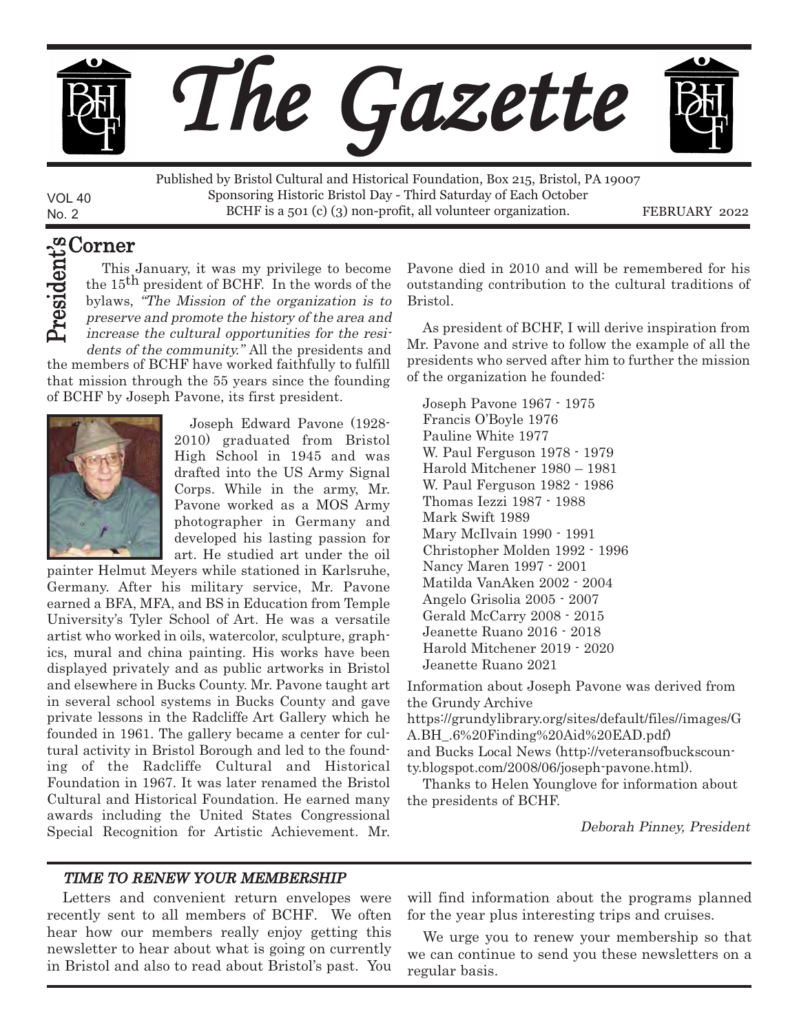

No. 2 FEBRUARY 2022 BCHF is a 501 (c) (3) non-profit, all volunteer organization. Published by Bristol Cultural and Historical Foundation, Box 215, Bristol, PA 19007 Sponsoring Historic Bristol Day - Third Saturday of Each October

#### Corner t's

VOL 40

 $\blacktriangle$  $\blacktriangleright$ e c۵ .i<br>ነ e n

This January, it was my privilege to become the 15<sup>th</sup> president of BCHF. In the words of the bylaws, "The Mission of the organization is to preserve and promote the history of the area and increase the cultural opportunities for the resi-

the members of BCHF have worked faithfully to fulfill that mission through the 55 years since the founding of BCHF by Joseph Pavone, its first president. dents of the community." All the presidents and



Joseph Edward Pavone (1928- 2010) graduated from Bristol High School in 1945 and was drafted into the US Army Signal Corps. While in the army, Mr. Pavone worked as a MOS Army photographer in Germany and developed his lasting passion for art. He studied art under the oil

painter Helmut Meyers while stationed in Karlsruhe, Germany. After his military service, Mr. Pavone earned a BFA, MFA, and BS in Education from Temple University's Tyler School of Art. He was a versatile artist who worked in oils, watercolor, sculpture, graphics, mural and china painting. His works have been displayed privately and as public artworks in Bristol and elsewhere in Bucks County. Mr. Pavone taught art in several school systems in Bucks County and gave private lessons in the Radcliffe Art Gallery which he founded in 1961. The gallery became a center for cultural activity in Bristol Borough and led to the founding of the Radcliffe Cultural and Historical Foundation in 1967. It was later renamed the Bristol Cultural and Historical Foundation. He earned many awards including the United States Congressional Special Recognition for Artistic Achievement. Mr. Pavone died in 2010 and will be remembered for his outstanding contribution to the cultural traditions of Bristol.

As president of BCHF, I will derive inspiration from Mr. Pavone and strive to follow the example of all the presidents who served after him to further the mission of the organization he founded:

Joseph Pavone 1967 - 1975 Francis O'Boyle 1976 Pauline White 1977 W. Paul Ferguson 1978 - 1979 Harold Mitchener 1980 – 1981 W. Paul Ferguson 1982 - 1986 Thomas Iezzi 1987 - 1988 Mark Swift 1989 Mary McIlvain 1990 - 1991 Christopher Molden 1992 - 1996 Nancy Maren 1997 - 2001 Matilda VanAken 2002 - 2004 Angelo Grisolia 2005 - 2007 Gerald McCarry 2008 - 2015 Jeanette Ruano 2016 - 2018 Harold Mitchener 2019 - 2020 Jeanette Ruano 2021

Information about Joseph Pavone was derived from the Grundy Archive

https://grundylibrary.org/sites/default/files//images/G A.BH\_.6%20Finding%20Aid%20EAD.pdf) and Bucks Local News [\(http://veteransofbuckscoun](http://veteransofbuckscounty.blogspot.com/2008/06/joseph-pavone.html)[ty.blogspot.com/2008/06/joseph-pavone.html\)](http://veteransofbuckscounty.blogspot.com/2008/06/joseph-pavone.html).

Thanks to Helen Younglove for information about the presidents of BCHF.

Deborah Pinney, President

#### TIME TO RENEW YOUR MEMBERSHIP

Letters and convenient return envelopes were recently sent to all members of BCHF. We often hear how our members really enjoy getting this newsletter to hear about what is going on currently in Bristol and also to read about Bristol's past. You

will find information about the programs planned for the year plus interesting trips and cruises.

We urge you to renew your membership so that we can continue to send you these newsletters on a regular basis.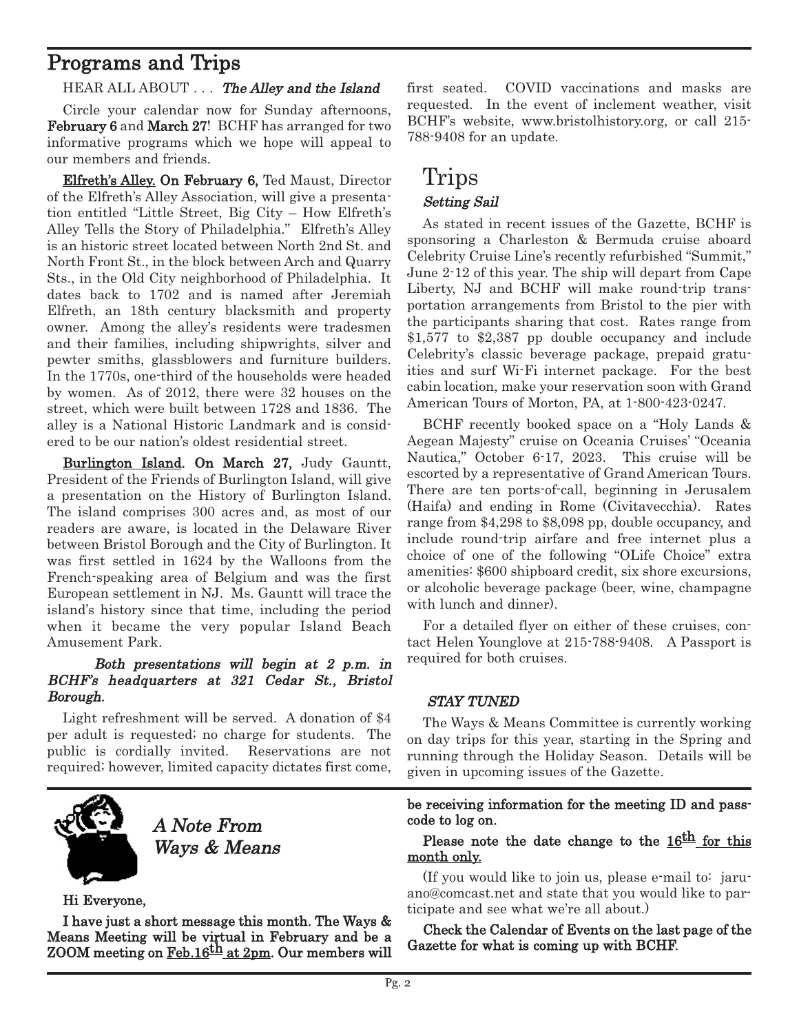# Programs and Trips

#### HEAR ALL ABOUT . . . The Alley and the Island

Circle your calendar now for Sunday afternoons, February 6 and March 27! BCHF has arranged for two informative programs which we hope will appeal to our members and friends.

Elfreth's Alley. On February 6, Ted Maust, Director of the Elfreth's Alley Association, will give a presentation entitled "Little Street, Big City – How Elfreth's Alley Tells the Story of Philadelphia." Elfreth's Alley is an historic street located between North 2nd St. and North Front St., in the block between Arch and Quarry Sts., in the Old City neighborhood of Philadelphia. It dates back to 1702 and is named after Jeremiah Elfreth, an 18th century blacksmith and property owner. Among the alley's residents were tradesmen and their families, including shipwrights, silver and pewter smiths, glassblowers and furniture builders. In the 1770s, one-third of the households were headed by women. As of 2012, there were 32 houses on the street, which were built between 1728 and 1836. The alley is a National Historic Landmark and is considered to be our nation's oldest residential street.

Burlington Island. On March 27, Judy Gauntt, President of the Friends of Burlington Island, will give a presentation on the History of Burlington Island. The island comprises 300 acres and, as most of our readers are aware, is located in the Delaware River between Bristol Borough and the City of Burlington. It was first settled in 1624 by the Walloons from the French-speaking area of Belgium and was the first European settlement in NJ. Ms. Gauntt will trace the island's history since that time, including the period when it became the very popular Island Beach Amusement Park.

### Both presentations will begin at 2 p.m. in BCHF's headquarters at 321 Cedar St., Bristol Borough.

Light refreshment will be served. A donation of \$4 per adult is requested; no charge for students. The public is cordially invited. Reservations are not required; however, limited capacity dictates first come,



A Note From Ways & Means

Hi Everyone,

I have just a short message this month. The Ways & Means Meeting will be virtual in February and be a ZOOM meeting on Feb.16<sup>th</sup> at 2pm. Our members will first seated. COVID vaccinations and masks are requested. In the event of inclement weather, visit BCHF's website, www.bristolhistory.org, or call 215- 788-9408 for an update.

### Trips Setting Sail

As stated in recent issues of the Gazette, BCHF is sponsoring a Charleston & Bermuda cruise aboard Celebrity Cruise Line's recently refurbished "Summit," June 2-12 of this year. The ship will depart from Cape Liberty, NJ and BCHF will make round-trip transportation arrangements from Bristol to the pier with the participants sharing that cost. Rates range from \$1,577 to \$2,387 pp double occupancy and include Celebrity's classic beverage package, prepaid gratuities and surf Wi-Fi internet package. For the best cabin location, make your reservation soon with Grand American Tours of Morton, PA, at 1-800-423-0247.

BCHF recently booked space on a "Holy Lands & Aegean Majesty" cruise on Oceania Cruises' "Oceania Nautica," October 6-17, 2023. This cruise will be escorted by a representative of Grand American Tours. There are ten ports-of-call, beginning in Jerusalem (Haifa) and ending in Rome (Civitavecchia). Rates range from \$4,298 to \$8,098 pp, double occupancy, and include round-trip airfare and free internet plus a choice of one of the following "OLife Choice" extra amenities: \$600 shipboard credit, six shore excursions, or alcoholic beverage package (beer, wine, champagne with lunch and dinner).

For a detailed flyer on either of these cruises, contact Helen Younglove at 215-788-9408. A Passport is required for both cruises.

### STAY TUNED

The Ways & Means Committee is currently working on day trips for this year, starting in the Spring and running through the Holiday Season. Details will be given in upcoming issues of the Gazette.

be receiving information for the meeting ID and passcode to log on.

### Please note the date change to the  $16<sup>th</sup>$  for this month only.

(If you would like to join us, please e-mail to: [jaru](mailto:jaruano@comcast.net)[ano@comcast.net](mailto:jaruano@comcast.net) and state that you would like to participate and see what we're all about.)

Check the Calendar of Events on the last page of the Gazette for what is coming up with BCHF.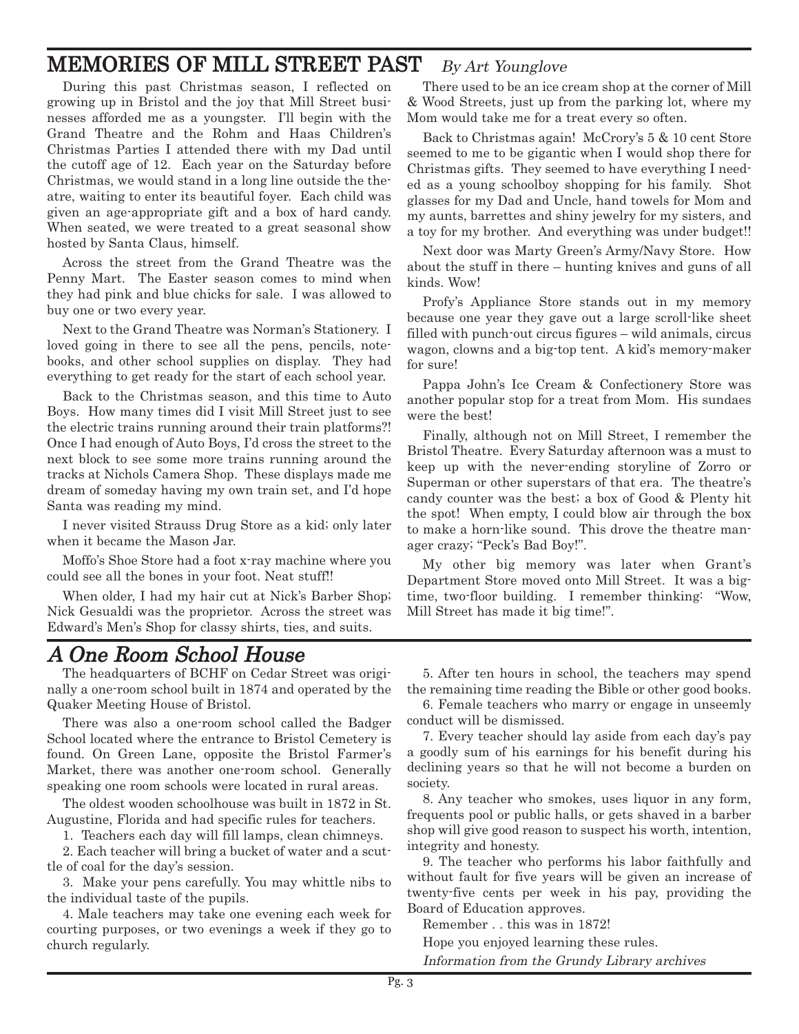## MEMORIES OF MILL STREET PAST By Art Younglove

During this past Christmas season, I reflected on growing up in Bristol and the joy that Mill Street businesses afforded me as a youngster. I'll begin with the Grand Theatre and the Rohm and Haas Children's Christmas Parties I attended there with my Dad until the cutoff age of 12. Each year on the Saturday before Christmas, we would stand in a long line outside the theatre, waiting to enter its beautiful foyer. Each child was given an age-appropriate gift and a box of hard candy. When seated, we were treated to a great seasonal show hosted by Santa Claus, himself.

Across the street from the Grand Theatre was the Penny Mart. The Easter season comes to mind when they had pink and blue chicks for sale. I was allowed to buy one or two every year.

Next to the Grand Theatre was Norman's Stationery. I loved going in there to see all the pens, pencils, notebooks, and other school supplies on display. They had everything to get ready for the start of each school year.

Back to the Christmas season, and this time to Auto Boys. How many times did I visit Mill Street just to see the electric trains running around their train platforms?! Once I had enough of Auto Boys, I'd cross the street to the next block to see some more trains running around the tracks at Nichols Camera Shop. These displays made me dream of someday having my own train set, and I'd hope Santa was reading my mind.

I never visited Strauss Drug Store as a kid; only later when it became the Mason Jar.

Moffo's Shoe Store had a foot x-ray machine where you could see all the bones in your foot. Neat stuff!!

When older, I had my hair cut at Nick's Barber Shop; Nick Gesualdi was the proprietor. Across the street was Edward's Men's Shop for classy shirts, ties, and suits.

### A One Room School House

The headquarters of BCHF on Cedar Street was originally a one-room school built in 1874 and operated by the Quaker Meeting House of Bristol.

There was also a one-room school called the Badger School located where the entrance to Bristol Cemetery is found. On Green Lane, opposite the Bristol Farmer's Market, there was another one-room school. Generally speaking one room schools were located in rural areas.

The oldest wooden schoolhouse was built in 1872 in St. Augustine, Florida and had specific rules for teachers.

1. Teachers each day will fill lamps, clean chimneys.

2. Each teacher will bring a bucket of water and a scuttle of coal for the day's session.

3. Make your pens carefully. You may whittle nibs to the individual taste of the pupils.

4. Male teachers may take one evening each week for courting purposes, or two evenings a week if they go to church regularly.

There used to be an ice cream shop at the corner of Mill & Wood Streets, just up from the parking lot, where my Mom would take me for a treat every so often.

Back to Christmas again! McCrory's 5 & 10 cent Store seemed to me to be gigantic when I would shop there for Christmas gifts. They seemed to have everything I needed as a young schoolboy shopping for his family. Shot glasses for my Dad and Uncle, hand towels for Mom and my aunts, barrettes and shiny jewelry for my sisters, and a toy for my brother. And everything was under budget!!

Next door was Marty Green's Army/Navy Store. How about the stuff in there – hunting knives and guns of all kinds. Wow!

Profy's Appliance Store stands out in my memory because one year they gave out a large scroll-like sheet filled with punch-out circus figures – wild animals, circus wagon, clowns and a big-top tent. A kid's memory-maker for sure!

Pappa John's Ice Cream & Confectionery Store was another popular stop for a treat from Mom. His sundaes were the best!

Finally, although not on Mill Street, I remember the Bristol Theatre. Every Saturday afternoon was a must to keep up with the never-ending storyline of Zorro or Superman or other superstars of that era. The theatre's candy counter was the best; a box of Good & Plenty hit the spot! When empty, I could blow air through the box to make a horn-like sound. This drove the theatre manager crazy; "Peck's Bad Boy!".

My other big memory was later when Grant's Department Store moved onto Mill Street. It was a bigtime, two-floor building. I remember thinking: "Wow, Mill Street has made it big time!".

5. After ten hours in school, the teachers may spend the remaining time reading the Bible or other good books.

6. Female teachers who marry or engage in unseemly conduct will be dismissed.

7. Every teacher should lay aside from each day's pay a goodly sum of his earnings for his benefit during his declining years so that he will not become a burden on society.

8. Any teacher who smokes, uses liquor in any form, frequents pool or public halls, or gets shaved in a barber shop will give good reason to suspect his worth, intention, integrity and honesty.

9. The teacher who performs his labor faithfully and without fault for five years will be given an increase of twenty-five cents per week in his pay, providing the Board of Education approves.

Remember . . this was in 1872!

Hope you enjoyed learning these rules.

Information from the Grundy Library archives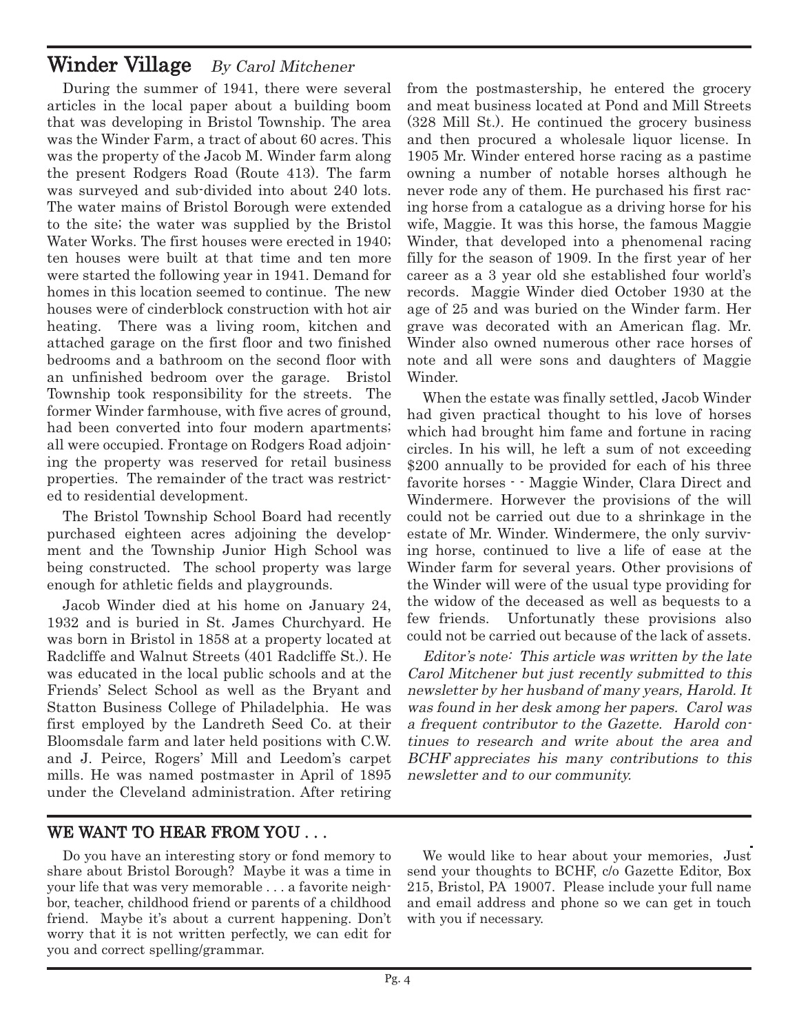### Winder Village By Carol Mitchener

During the summer of 1941, there were several articles in the local paper about a building boom that was developing in Bristol Township. The area was the Winder Farm, a tract of about 60 acres. This was the property of the Jacob M. Winder farm along the present Rodgers Road (Route 413). The farm was surveyed and sub-divided into about 240 lots. The water mains of Bristol Borough were extended to the site; the water was supplied by the Bristol Water Works. The first houses were erected in 1940; ten houses were built at that time and ten more were started the following year in 1941. Demand for homes in this location seemed to continue. The new houses were of cinderblock construction with hot air heating. There was a living room, kitchen and attached garage on the first floor and two finished bedrooms and a bathroom on the second floor with an unfinished bedroom over the garage. Bristol Township took responsibility for the streets. The former Winder farmhouse, with five acres of ground, had been converted into four modern apartments; all were occupied. Frontage on Rodgers Road adjoining the property was reserved for retail business properties. The remainder of the tract was restricted to residential development.

The Bristol Township School Board had recently purchased eighteen acres adjoining the development and the Township Junior High School was being constructed. The school property was large enough for athletic fields and playgrounds.

Jacob Winder died at his home on January 24, 1932 and is buried in St. James Churchyard. He was born in Bristol in 1858 at a property located at Radcliffe and Walnut Streets (401 Radcliffe St.). He was educated in the local public schools and at the Friends' Select School as well as the Bryant and Statton Business College of Philadelphia. He was first employed by the Landreth Seed Co. at their Bloomsdale farm and later held positions with C.W. and J. Peirce, Rogers' Mill and Leedom's carpet mills. He was named postmaster in April of 1895 under the Cleveland administration. After retiring

from the postmastership, he entered the grocery and meat business located at Pond and Mill Streets (328 Mill St.). He continued the grocery business and then procured a wholesale liquor license. In 1905 Mr. Winder entered horse racing as a pastime owning a number of notable horses although he never rode any of them. He purchased his first racing horse from a catalogue as a driving horse for his wife, Maggie. It was this horse, the famous Maggie Winder, that developed into a phenomenal racing filly for the season of 1909. In the first year of her career as a 3 year old she established four world's records. Maggie Winder died October 1930 at the age of 25 and was buried on the Winder farm. Her grave was decorated with an American flag. Mr. Winder also owned numerous other race horses of note and all were sons and daughters of Maggie Winder.

When the estate was finally settled, Jacob Winder had given practical thought to his love of horses which had brought him fame and fortune in racing circles. In his will, he left a sum of not exceeding \$200 annually to be provided for each of his three favorite horses - - Maggie Winder, Clara Direct and Windermere. Horwever the provisions of the will could not be carried out due to a shrinkage in the estate of Mr. Winder. Windermere, the only surviving horse, continued to live a life of ease at the Winder farm for several years. Other provisions of the Winder will were of the usual type providing for the widow of the deceased as well as bequests to a few friends. Unfortunatly these provisions also could not be carried out because of the lack of assets.

Editor's note: This article was written by the late Carol Mitchener but just recently submitted to this newsletter by her husband of many years, Harold. It was found in her desk among her papers. Carol was <sup>a</sup> frequent contributor to the Gazette. Harold continues to research and write about the area and BCHF appreciates his many contributions to this newsletter and to our community.

### WE WANT TO HEAR FROM YOU . . .

Do you have an interesting story or fond memory to share about Bristol Borough? Maybe it was a time in your life that was very memorable . . . a favorite neighbor, teacher, childhood friend or parents of a childhood friend. Maybe it's about a current happening. Don't worry that it is not written perfectly, we can edit for you and correct spelling/grammar.

We would like to hear about your memories, Just send your thoughts to BCHF, c/o Gazette Editor, Box 215, Bristol, PA 19007. Please include your full name and email address and phone so we can get in touch with you if necessary.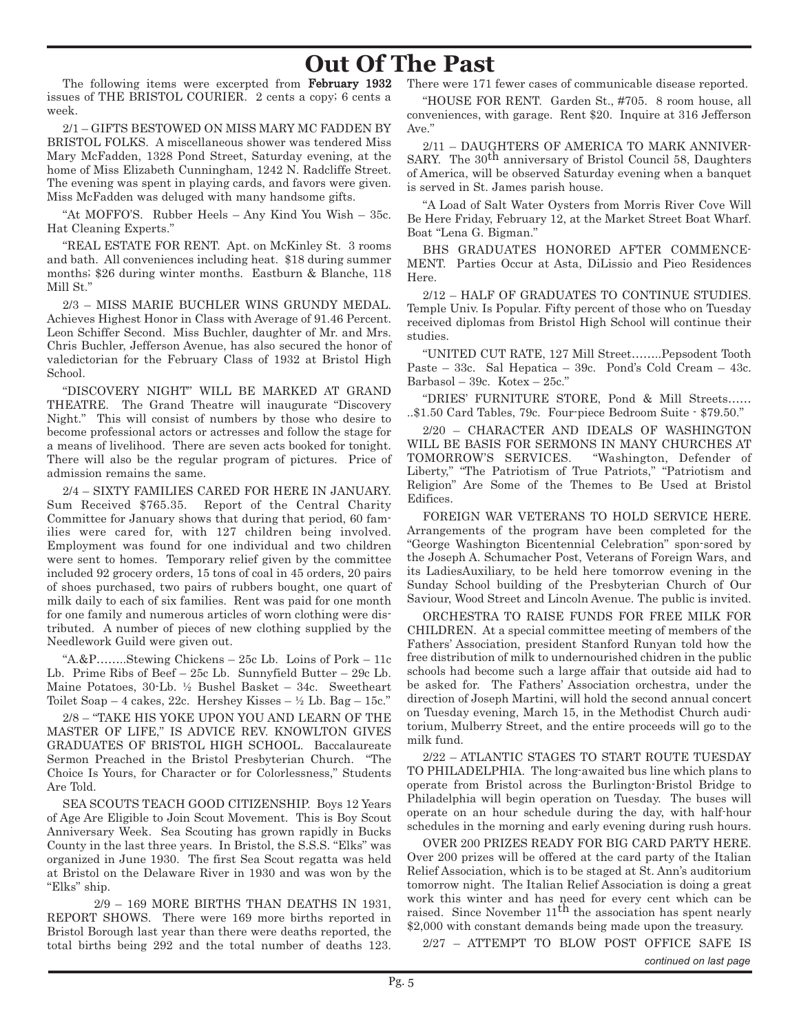# **Out Of The Past**

The following items were excerpted from February 1932 issues of THE BRISTOL COURIER. 2 cents a copy; 6 cents a week.

2/1 – GIFTS BESTOWED ON MISS MARY MC FADDEN BY BRISTOL FOLKS. A miscellaneous shower was tendered Miss Mary McFadden, 1328 Pond Street, Saturday evening, at the home of Miss Elizabeth Cunningham, 1242 N. Radcliffe Street. The evening was spent in playing cards, and favors were given. Miss McFadden was deluged with many handsome gifts.

"At MOFFO'S. Rubber Heels – Any Kind You Wish – 35c. Hat Cleaning Experts."

"REAL ESTATE FOR RENT. Apt. on McKinley St. 3 rooms and bath. All conveniences including heat. \$18 during summer months; \$26 during winter months. Eastburn & Blanche, 118 Mill St."

2/3 – MISS MARIE BUCHLER WINS GRUNDY MEDAL. Achieves Highest Honor in Class with Average of 91.46 Percent. Leon Schiffer Second. Miss Buchler, daughter of Mr. and Mrs. Chris Buchler, Jefferson Avenue, has also secured the honor of valedictorian for the February Class of 1932 at Bristol High School.

"DISCOVERY NIGHT" WILL BE MARKED AT GRAND THEATRE. The Grand Theatre will inaugurate "Discovery Night." This will consist of numbers by those who desire to become professional actors or actresses and follow the stage for a means of livelihood. There are seven acts booked for tonight. There will also be the regular program of pictures. Price of admission remains the same.

2/4 – SIXTY FAMILIES CARED FOR HERE IN JANUARY. Sum Received \$765.35. Report of the Central Charity Committee for January shows that during that period, 60 families were cared for, with 127 children being involved. Employment was found for one individual and two children were sent to homes. Temporary relief given by the committee included 92 grocery orders, 15 tons of coal in 45 orders, 20 pairs of shoes purchased, two pairs of rubbers bought, one quart of milk daily to each of six families. Rent was paid for one month for one family and numerous articles of worn clothing were distributed. A number of pieces of new clothing supplied by the Needlework Guild were given out.

"A.&P……..Stewing Chickens – 25c Lb. Loins of Pork – 11c Lb. Prime Ribs of Beef – 25c Lb. Sunnyfield Butter – 29c Lb. Maine Potatoes, 30-Lb. ½ Bushel Basket – 34c. Sweetheart Toilet Soap – 4 cakes, 22c. Hershey Kisses –  $\frac{1}{2}$  Lb. Bag – 15c."

2/8 – "TAKE HIS YOKE UPON YOU AND LEARN OF THE MASTER OF LIFE," IS ADVICE REV. KNOWLTON GIVES GRADUATES OF BRISTOL HIGH SCHOOL. Baccalaureate Sermon Preached in the Bristol Presbyterian Church. "The Choice Is Yours, for Character or for Colorlessness," Students Are Told.

SEA SCOUTS TEACH GOOD CITIZENSHIP. Boys 12 Years of Age Are Eligible to Join Scout Movement. This is Boy Scout Anniversary Week. Sea Scouting has grown rapidly in Bucks County in the last three years. In Bristol, the S.S.S. "Elks" was organized in June 1930. The first Sea Scout regatta was held at Bristol on the Delaware River in 1930 and was won by the "Elks" ship.

2/9 – 169 MORE BIRTHS THAN DEATHS IN 1931, REPORT SHOWS. There were 169 more births reported in Bristol Borough last year than there were deaths reported, the total births being 292 and the total number of deaths 123. There were 171 fewer cases of communicable disease reported.

"HOUSE FOR RENT. Garden St., #705. 8 room house, all conveniences, with garage. Rent \$20. Inquire at 316 Jefferson Ave."

2/11 – DAUGHTERS OF AMERICA TO MARK ANNIVER-SARY. The  $30<sup>th</sup>$  anniversary of Bristol Council 58, Daughters of America, will be observed Saturday evening when a banquet is served in St. James parish house.

"A Load of Salt Water Oysters from Morris River Cove Will Be Here Friday, February 12, at the Market Street Boat Wharf. Boat "Lena G. Bigman."

BHS GRADUATES HONORED AFTER COMMENCE-MENT. Parties Occur at Asta, DiLissio and Pieo Residences Here.

2/12 – HALF OF GRADUATES TO CONTINUE STUDIES. Temple Univ. Is Popular. Fifty percent of those who on Tuesday received diplomas from Bristol High School will continue their studies.

"UNITED CUT RATE, 127 Mill Street……..Pepsodent Tooth Paste – 33c. Sal Hepatica – 39c. Pond's Cold Cream – 43c. Barbasol – 39c. Kotex – 25c."

"DRIES' FURNITURE STORE, Pond & Mill Streets…… ..\$1.50 Card Tables, 79c. Four-piece Bedroom Suite - \$79.50."

2/20 – CHARACTER AND IDEALS OF WASHINGTON WILL BE BASIS FOR SERMONS IN MANY CHURCHES AT TOMORROW'S SERVICES. "Washington, Defender of Liberty," "The Patriotism of True Patriots," "Patriotism and Religion" Are Some of the Themes to Be Used at Bristol Edifices.

FOREIGN WAR VETERANS TO HOLD SERVICE HERE. Arrangements of the program have been completed for the "George Washington Bicentennial Celebration" spon-sored by the Joseph A. Schumacher Post, Veterans of Foreign Wars, and its LadiesAuxiliary, to be held here tomorrow evening in the Sunday School building of the Presbyterian Church of Our Saviour, Wood Street and Lincoln Avenue. The public is invited.

ORCHESTRA TO RAISE FUNDS FOR FREE MILK FOR CHILDREN. At a special committee meeting of members of the Fathers' Association, president Stanford Runyan told how the free distribution of milk to undernourished chidren in the public schools had become such a large affair that outside aid had to be asked for. The Fathers' Association orchestra, under the direction of Joseph Martini, will hold the second annual concert on Tuesday evening, March 15, in the Methodist Church auditorium, Mulberry Street, and the entire proceeds will go to the milk fund.

2/22 – ATLANTIC STAGES TO START ROUTE TUESDAY TO PHILADELPHIA. The long-awaited bus line which plans to operate from Bristol across the Burlington-Bristol Bridge to Philadelphia will begin operation on Tuesday. The buses will operate on an hour schedule during the day, with half-hour schedules in the morning and early evening during rush hours.

OVER 200 PRIZES READY FOR BIG CARD PARTY HERE. Over 200 prizes will be offered at the card party of the Italian Relief Association, which is to be staged at St. Ann's auditorium tomorrow night. The Italian Relief Association is doing a great work this winter and has need for every cent which can be raised. Since November  $11<sup>th</sup>$  the association has spent nearly \$2,000 with constant demands being made upon the treasury.

2/27 – ATTEMPT TO BLOW POST OFFICE SAFE IS